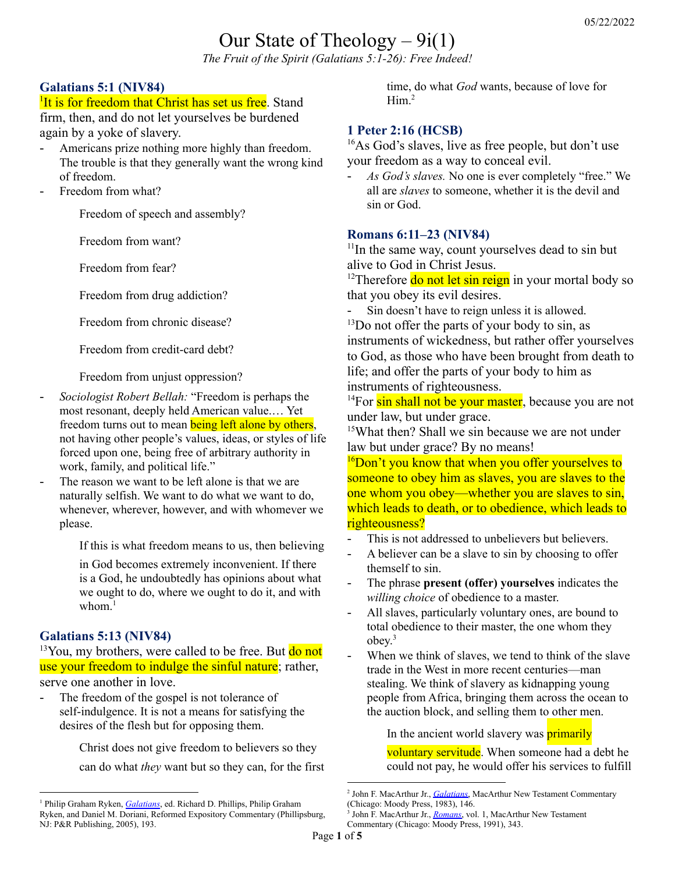# Our State of Theology  $-9i(1)$

*The Fruit of the Spirit (Galatians 5:1-26): Free Indeed!*

# **Galatians 5:1 (NIV84)**

<sup>1</sup>It is for freedom that Christ has set us free. Stand firm, then, and do not let yourselves be burdened

again by a yoke of slavery.

- Americans prize nothing more highly than freedom. The trouble is that they generally want the wrong kind of freedom.
- Freedom from what?

Freedom of speech and assembly?

Freedom from want?

Freedom from fear?

Freedom from drug addiction?

Freedom from chronic disease?

Freedom from credit-card debt?

Freedom from unjust oppression?

- *Sociologist Robert Bellah:* "Freedom is perhaps the most resonant, deeply held American value.… Yet freedom turns out to mean **being left alone by others**, not having other people's values, ideas, or styles of life forced upon one, being free of arbitrary authority in work, family, and political life."
- The reason we want to be left alone is that we are naturally selfish. We want to do what we want to do, whenever, wherever, however, and with whomever we please.

If this is what freedom means to us, then believing

in God becomes extremely inconvenient. If there is a God, he undoubtedly has opinions about what we ought to do, where we ought to do it, and with whom.<sup>1</sup>

## **Galatians 5:13 (NIV84)**

 $13$ You, my brothers, were called to be free. But  $d\sigma$  not use your freedom to indulge the sinful nature; rather, serve one another in love.

The freedom of the gospel is not tolerance of self-indulgence. It is not a means for satisfying the desires of the flesh but for opposing them.

> Christ does not give freedom to believers so they can do what *they* want but so they can, for the first

time, do what *God* wants, because of love for Him. 2

# **1 Peter 2:16 (HCSB)**

<sup>16</sup>As God's slaves, live as free people, but don't use your freedom as a way to conceal evil.

- *As God's slaves.* No one is ever completely "free." We all are *slaves* to someone, whether it is the devil and sin or God.

#### **Romans 6:11–23 (NIV84)**

<sup>11</sup>In the same way, count yourselves dead to sin but alive to God in Christ Jesus.

<sup>12</sup>Therefore **do not let sin reign** in your mortal body so that you obey its evil desires.

- Sin doesn't have to reign unless it is allowed.

<sup>13</sup>Do not offer the parts of your body to sin, as instruments of wickedness, but rather offer yourselves to God, as those who have been brought from death to life; and offer the parts of your body to him as instruments of righteousness.

 $14$ For sin shall not be your master, because you are not under law, but under grace.

<sup>15</sup>What then? Shall we sin because we are not under law but under grace? By no means!

<sup>16</sup>Don't you know that when you offer yourselves to someone to obey him as slaves, you are slaves to the one whom you obey—whether you are slaves to sin, which leads to death, or to obedience, which leads to righteousness?

- This is not addressed to unbelievers but believers.
- A believer can be a slave to sin by choosing to offer themself to sin.
- The phrase **present (offer) yourselves** indicates the *willing choice* of obedience to a master.
- All slaves, particularly voluntary ones, are bound to total obedience to their master, the one whom they obey. 3
- When we think of slaves, we tend to think of the slave trade in the West in more recent centuries—man stealing. We think of slavery as kidnapping young people from Africa, bringing them across the ocean to the auction block, and selling them to other men.

In the ancient world slavery was **primarily** 

voluntary servitude. When someone had a debt he could not pay, he would offer his services to fulfill

<sup>1</sup> Philip Graham Ryken, *[Galatians](https://ref.ly/logosres/rec69ga?ref=Bible.Ga5.1-6&off=2148&ctx=m+to+be+left+alone.%0a~The+reason+we+want+t)*, ed. Richard D. Phillips, Philip Graham Ryken, and Daniel M. Doriani, Reformed Expository Commentary (Phillipsburg, NJ: P&R Publishing, 2005), 193.

<sup>2</sup> John F. MacArthur Jr., *[Galatians](https://ref.ly/logosres/galmntc?ref=Bible.Ga5.13b&off=278&ctx=ul+makes+clear+that+~the+freedom+of+the+g)*, MacArthur New Testament Commentary (Chicago: Moody Press, 1983), 146.

<sup>3</sup> John F. MacArthur Jr., *[Romans](https://ref.ly/logosres/rommntc?ref=Bible.Ro6.16&off=608&ctx=+one+whom+you+obey%3f+~The+phrase+present+y)*, vol. 1, MacArthur New Testament Commentary (Chicago: Moody Press, 1991), 343.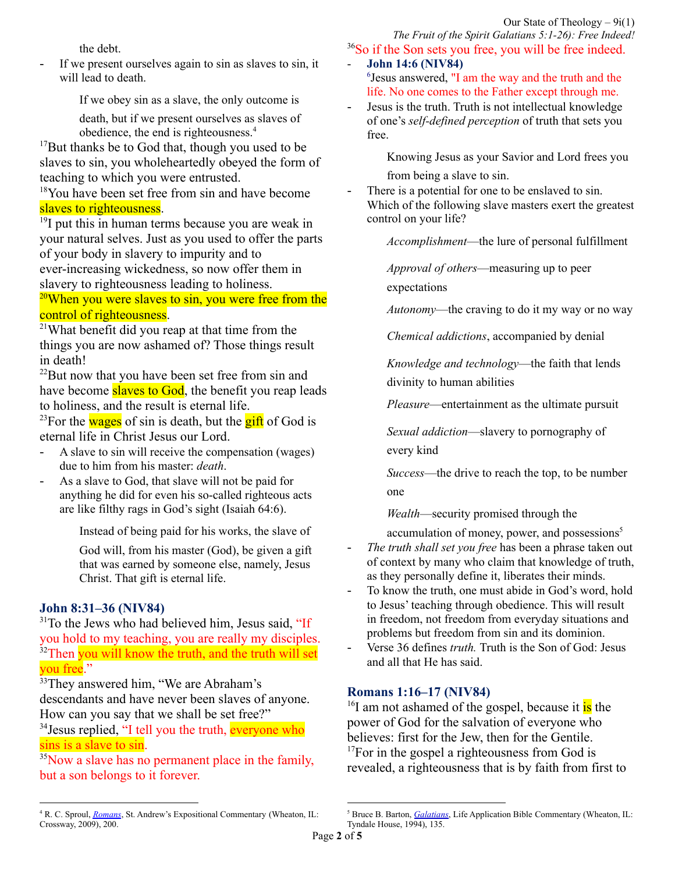the debt.

If we present ourselves again to sin as slaves to sin, it will lead to death.

If we obey sin as a slave, the only outcome is

death, but if we present ourselves as slaves of obedience, the end is righteousness. 4

 $17$ But thanks be to God that, though you used to be slaves to sin, you wholeheartedly obeyed the form of teaching to which you were entrusted.

<sup>18</sup>You have been set free from sin and have become slaves to righteousness.

<sup>19</sup>I put this in human terms because you are weak in your natural selves. Just as you used to offer the parts of your body in slavery to impurity and to ever-increasing wickedness, so now offer them in slavery to righteousness leading to holiness.

# $20$ When you were slaves to sin, you were free from the control of righteousness.

<sup>21</sup>What benefit did you reap at that time from the things you are now ashamed of? Those things result in death!

<sup>22</sup>But now that you have been set free from sin and have become **slaves to God**, the benefit you reap leads to holiness, and the result is eternal life.

<sup>23</sup>For the **wages** of sin is death, but the  $\frac{gif}{g}$  of God is eternal life in Christ Jesus our Lord.

- A slave to sin will receive the compensation (wages) due to him from his master: *death*.
- As a slave to God, that slave will not be paid for anything he did for even his so-called righteous acts are like filthy rags in God's sight (Isaiah 64:6).

Instead of being paid for his works, the slave of God will, from his master (God), be given a gift that was earned by someone else, namely, Jesus Christ. That gift is eternal life.

# **John 8:31–36 (NIV84)**

 $31$ To the Jews who had believed him, Jesus said, "If you hold to my teaching, you are really my disciples.  $32$ Then you will know the truth, and the truth will set you free."

<sup>33</sup>They answered him, "We are Abraham's descendants and have never been slaves of anyone. How can you say that we shall be set free?"

<sup>34</sup> Jesus replied, "I tell you the truth, everyone who sins is a slave to sin.

<sup>35</sup>Now a slave has no permanent place in the family, but a son belongs to it forever.

<sup>36</sup>So if the Son sets you free, you will be free indeed. - **John 14:6 (NIV84)**

- <sup>6</sup>Jesus answered, "I am the way and the truth and the life. No one comes to the Father except through me.
- Jesus is the truth. Truth is not intellectual knowledge of one's *self-defined perception* of truth that sets you free.

Knowing Jesus as your Savior and Lord frees you from being a slave to sin.

There is a potential for one to be enslaved to sin. Which of the following slave masters exert the greatest control on your life?

*Accomplishment*—the lure of personal fulfillment

*Approval of others*—measuring up to peer

expectations

*Autonomy*—the craving to do it my way or no way

*Chemical addictions*, accompanied by denial

*Knowledge and technology*—the faith that lends divinity to human abilities

*Pleasure*—entertainment as the ultimate pursuit

*Sexual addiction*—slavery to pornography of every kind

*Success*—the drive to reach the top, to be number one

*Wealth*—security promised through the

accumulation of money, power, and possessions 5

- *The truth shall set you free* has been a phrase taken out of context by many who claim that knowledge of truth, as they personally define it, liberates their minds.
- To know the truth, one must abide in God's word, hold to Jesus' teaching through obedience. This will result in freedom, not freedom from everyday situations and problems but freedom from sin and its dominion.
- Verse 36 defines *truth.* Truth is the Son of God: Jesus and all that He has said.

## **Romans 1:16–17 (NIV84)**

<sup>16</sup>I am not ashamed of the gospel, because it is the power of God for the salvation of everyone who believes: first for the Jew, then for the Gentile. <sup>17</sup>For in the gospel a righteousness from God is revealed, a righteousness that is by faith from first to

<sup>4</sup> R. C. Sproul, *[Romans](https://ref.ly/logosres/sproulromans?ref=Bible.Ro6.15-16&off=297&ctx=dentured+servitude.+~When+we+think+of+sla)*, St. Andrew's Expositional Commentary (Wheaton, IL: Crossway, 2009), 200.

<sup>&</sup>lt;sup>5</sup> Bruce B. Barton, *Galatians*, Life Application Bible Commentary (Wheaton, IL: Tyndale House, 1994), 135.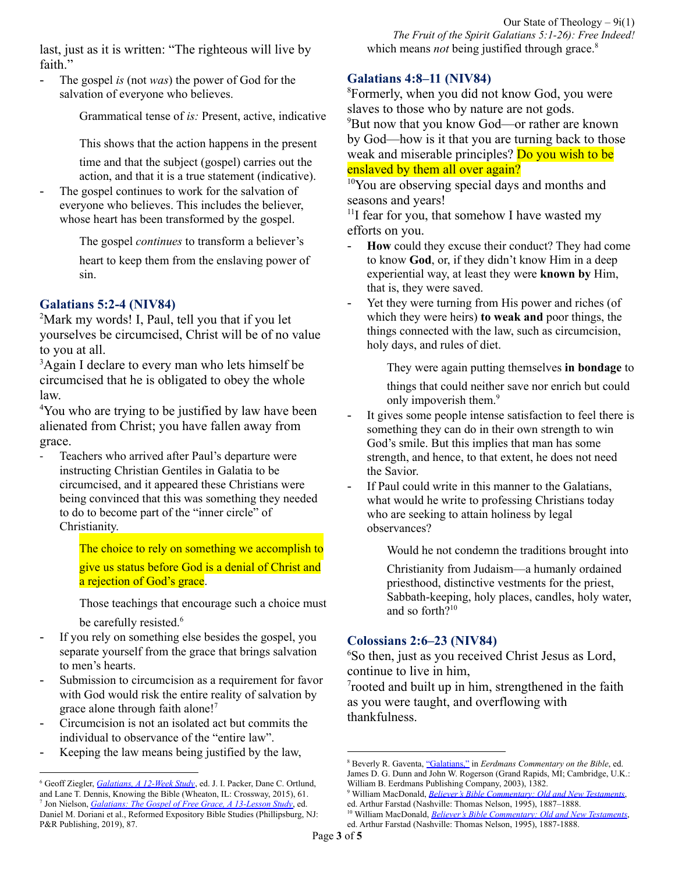last, just as it is written: "The righteous will live by faith"

The gospel *is* (not *was*) the power of God for the salvation of everyone who believes.

Grammatical tense of *is:* Present, active, indicative

This shows that the action happens in the present

time and that the subject (gospel) carries out the action, and that it is a true statement (indicative).

The gospel continues to work for the salvation of everyone who believes. This includes the believer, whose heart has been transformed by the gospel.

The gospel *continues* to transform a believer's

heart to keep them from the enslaving power of sin.

## **Galatians 5:2-4 (NIV84)**

<sup>2</sup>Mark my words! I, Paul, tell you that if you let yourselves be circumcised, Christ will be of no value to you at all.

<sup>3</sup>Again I declare to every man who lets himself be circumcised that he is obligated to obey the whole law.

<sup>4</sup>You who are trying to be justified by law have been alienated from Christ; you have fallen away from grace.

- Teachers who arrived after Paul's departure were instructing Christian Gentiles in Galatia to be circumcised, and it appeared these Christians were being convinced that this was something they needed to do to become part of the "inner circle" of Christianity.

> The choice to rely on something we accomplish to give us status before God is a denial of Christ and a rejection of God's grace.

Those teachings that encourage such a choice must be carefully resisted. 6

- If you rely on something else besides the gospel, you separate yourself from the grace that brings salvation to men's hearts.
- Submission to circumcision as a requirement for favor with God would risk the entire reality of salvation by grace alone through faith alone!<sup>7</sup>
- Circumcision is not an isolated act but commits the individual to observance of the "entire law".
- Keeping the law means being justified by the law,

Our State of Theology – 9i(1) *The Fruit of the Spirit Galatians 5:1-26): Free Indeed!* which means *not* being justified through grace.<sup>8</sup>

#### **Galatians 4:8–11 (NIV84)**

<sup>8</sup>Formerly, when you did not know God, you were slaves to those who by nature are not gods. <sup>9</sup>But now that you know God—or rather are known by God—how is it that you are turning back to those weak and miserable principles? Do you wish to be enslaved by them all over again?

<sup>10</sup>You are observing special days and months and seasons and years!

<sup>11</sup>I fear for you, that somehow I have wasted my efforts on you.

- How could they excuse their conduct? They had come to know **God**, or, if they didn't know Him in a deep experiential way, at least they were **known by** Him, that is, they were saved.
- Yet they were turning from His power and riches (of which they were heirs) **to weak and** poor things, the things connected with the law, such as circumcision, holy days, and rules of diet.

They were again putting themselves **in bondage** to

things that could neither save nor enrich but could only impoverish them.<sup>9</sup>

- It gives some people intense satisfaction to feel there is something they can do in their own strength to win God's smile. But this implies that man has some strength, and hence, to that extent, he does not need the Savior.
- If Paul could write in this manner to the Galatians, what would he write to professing Christians today who are seeking to attain holiness by legal observances?

Would he not condemn the traditions brought into

Christianity from Judaism—a humanly ordained priesthood, distinctive vestments for the priest, Sabbath-keeping, holy places, candles, holy water, and so forth? 10

## **Colossians 2:6–23 (NIV84)**

<sup>6</sup>So then, just as you received Christ Jesus as Lord, continue to live in him,

7 rooted and built up in him, strengthened in the faith as you were taught, and overflowing with thankfulness.

<sup>7</sup> Jon Nielson, *[Galatians:](https://ref.ly/logosres/rebs69ga?ref=Bible.Ga5.1-12&off=879&ctx=ching%2c+arguing+that+~submission+to+circum) The Gospel of Free Grace, A 13-Lesson Study*, ed. Daniel M. Doriani et al., Reformed Expository Bible Studies (Phillipsburg, NJ: P&R Publishing, 2019), 87. <sup>6</sup> Geoff Ziegler, *[Galatians,](https://ref.ly/logosres/gltns12wkst?ref=Bible.Ga5.2-12&off=193&ctx=ific+issue+at+hand.+~Teachers+who+have+ar) A 12-Week Study*, ed. J. I. Packer, Dane C. Ortlund, and Lane T. Dennis, Knowing the Bible (Wheaton, IL: Crossway, 2015), 61.

<sup>8</sup> Beverly R. Gaventa, ["Galatians,"](https://ref.ly/logosres/eerdmanscommbbl?ref=Bible.Ga5.2-12&off=695&ctx=nce+again+in+5%3a2%E2%80%935.+~Circumcision+is+not+) in *Eerdmans Commentary on the Bible*, ed. James D. G. Dunn and John W. Rogerson (Grand Rapids, MI; Cambridge, U.K.: William B. Eerdmans Publishing Company, 2003), 1382.

<sup>9</sup> William MacDonald, *Believer's Bible [Commentary:](https://ref.ly/logosres/blvrcomm?ref=Bible.Ga4.9&off=4&ctx=age+to+the+law.%0a4%3a9+~How+could+they+excus) Old and New Testaments*, ed. Arthur Farstad (Nashville: Thomas Nelson, 1995), 1887–1888.

<sup>10</sup> William MacDonald, *Believer's Bible [Commentary:](https://ref.ly/logosres/blvrcomm?ref=Bible.Ga4.10&off=283&ctx=d+months+and+years.+~It+gives+some+people) Old and New Testaments*, ed. Arthur Farstad (Nashville: Thomas Nelson, 1995), 1887-1888.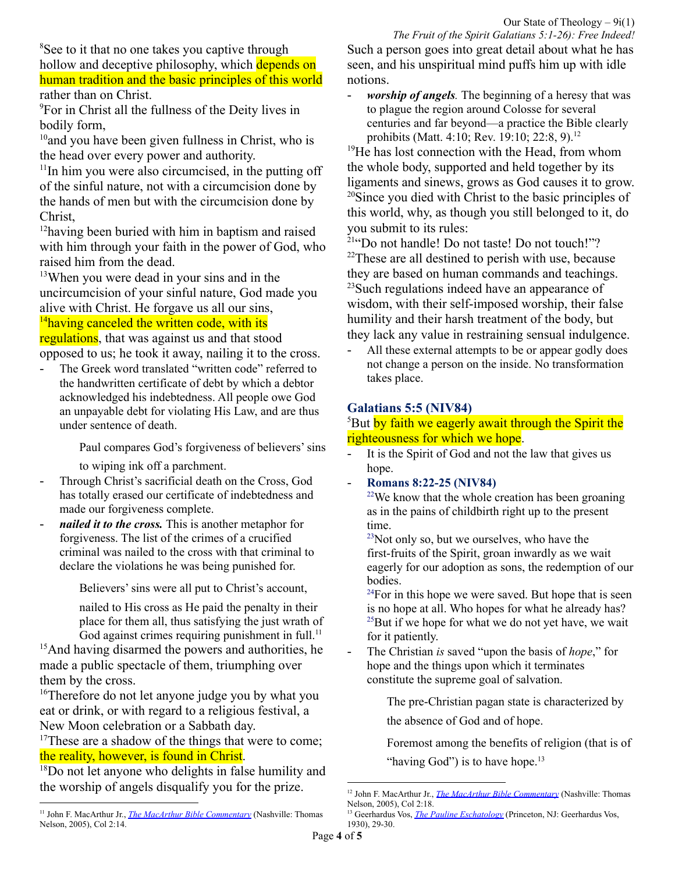<sup>8</sup>See to it that no one takes you captive through hollow and deceptive philosophy, which depends on human tradition and the basic principles of this world rather than on Christ.

<sup>9</sup>For in Christ all the fullness of the Deity lives in bodily form,

 $10$ and you have been given fullness in Christ, who is the head over every power and authority.

<sup>11</sup>In him you were also circumcised, in the putting off of the sinful nature, not with a circumcision done by the hands of men but with the circumcision done by Christ,

<sup>12</sup>having been buried with him in baptism and raised with him through your faith in the power of God, who raised him from the dead.

<sup>13</sup>When you were dead in your sins and in the uncircumcision of your sinful nature, God made you alive with Christ. He forgave us all our sins,

# $14$ having canceled the written code, with its

regulations, that was against us and that stood opposed to us; he took it away, nailing it to the cross.

The Greek word translated "written code" referred to the handwritten certificate of debt by which a debtor acknowledged his indebtedness. All people owe God an unpayable debt for violating His Law, and are thus under sentence of death.

Paul compares God's forgiveness of believers' sins

to wiping ink off a parchment.

- Through Christ's sacrificial death on the Cross, God has totally erased our certificate of indebtedness and made our forgiveness complete.
- *nailed it to the cross.* This is another metaphor for forgiveness. The list of the crimes of a crucified criminal was nailed to the cross with that criminal to declare the violations he was being punished for.

Believers'sins were all put to Christ's account,

nailed to His cross as He paid the penalty in their place for them all, thus satisfying the just wrath of God against crimes requiring punishment in full.<sup>11</sup>

<sup>15</sup>And having disarmed the powers and authorities, he made a public spectacle of them, triumphing over them by the cross.

<sup>16</sup>Therefore do not let anyone judge you by what you eat or drink, or with regard to a religious festival, a New Moon celebration or a Sabbath day.

<sup>17</sup>These are a shadow of the things that were to come; the reality, however, is found in Christ.

<sup>18</sup>Do not let anyone who delights in false humility and the worship of angels disqualify you for the prize.

*The Fruit of the Spirit Galatians 5:1-26): Free Indeed!* Such a person goes into great detail about what he has seen, and his unspiritual mind puffs him up with idle notions.

*worship of angels*. The beginning of a heresy that was to plague the region around Colosse for several centuries and far beyond—a practice the Bible clearly prohibits (Matt. 4:10; Rev. 19:10; 22:8, 9). 12

<sup>19</sup>He has lost connection with the Head, from whom the whole body, supported and held together by its ligaments and sinews, grows as God causes it to grow. <sup>20</sup>Since you died with Christ to the basic principles of this world, why, as though you still belonged to it, do you submit to its rules:

<sup>21"</sup>Do not handle! Do not taste! Do not touch!"?  $22$ These are all destined to perish with use, because they are based on human commands and teachings. <sup>23</sup>Such regulations indeed have an appearance of wisdom, with their self-imposed worship, their false humility and their harsh treatment of the body, but they lack any value in restraining sensual indulgence.

All these external attempts to be or appear godly does not change a person on the inside. No transformation takes place.

#### **Galatians 5:5 (NIV84)**

#### <sup>5</sup>But by faith we eagerly await through the Spirit the righteousness for which we hope.

- It is the Spirit of God and not the law that gives us hope.
- **Romans 8:22-25 (NIV84)**

 $22$ We know that the whole creation has been groaning as in the pains of childbirth right up to the present time.

 $23$ Not only so, but we ourselves, who have the first-fruits of the Spirit, groan inwardly as we wait eagerly for our adoption as sons, the redemption of our bodies.

 $24$ For in this hope we were saved. But hope that is seen is no hope at all. Who hopes for what he already has?  $^{25}$ But if we hope for what we do not yet have, we wait for it patiently.

- The Christian *is* saved "upon the basis of *hope*," for hope and the things upon which it terminates constitute the supreme goal of salvation.

> The pre-Christian pagan state is characterized by the absence of God and of hope.

Foremost among the benefits of religion (that is of "having God") is to have hope.<sup>13</sup>

<sup>11</sup> John F. MacArthur Jr., *The MacArthur Bible [Commentary](https://ref.ly/logosres/97120d2325c2eaff76a0701e5f610f13?ref=Bible.Col2.14&off=32&ctx=ut+the+handwriting.+~The+Greek+word+trans)* (Nashville: Thomas Nelson, 2005), Col 2:14.

<sup>12</sup> John F. MacArthur Jr., *The MacArthur Bible [Commentary](https://ref.ly/logosres/97120d2325c2eaff76a0701e5f610f13?ref=Bible.Col2.18&off=327&ctx=s+(Prov.+6%3a16%2c+17).+~worship+of+angels.+T)* (Nashville: Thomas Nelson, 2005), Col 2:18.

<sup>&</sup>lt;sup>13</sup> Geerhardus Vos, *The Pauline [Eschatology](https://ref.ly/logosres/plneschtlgyvos?ref=Page.p+30&off=11&ctx=lvation%2c+Rom.+8%3a24.+~The+pre-Christian+pa)* (Princeton, NJ: Geerhardus Vos, 1930), 29-30.